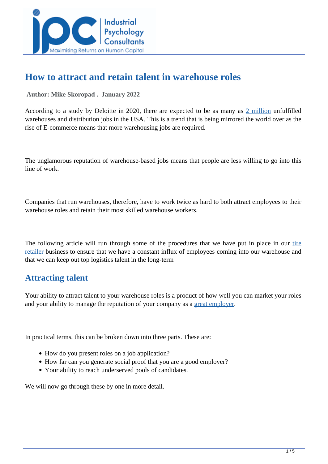

# **How to attract and retain talent in warehouse roles**

 **Author: Mike Skoropad . January 2022** 

According to a study by Deloitte in 2020, there are expected to be as many as [2 million](https://www2.deloitte.com/us/en/pages/about-deloitte/articles/press-releases/deloitte-manufacturing-skills-gap.html) unfulfilled warehouses and distribution jobs in the USA. This is a trend that is being mirrored the world over as the rise of E-commerce means that more warehousing jobs are required.

The unglamorous reputation of warehouse-based jobs means that people are less willing to go into this line of work.

Companies that run warehouses, therefore, have to work twice as hard to both attract employees to their warehouse roles and retain their most skilled warehouse workers.

The following article will run through some of the procedures that we have put in place in our [tire](https://www.utires.com/) [retailer](https://www.utires.com/) business to ensure that we have a constant influx of employees coming into our warehouse and that we can keep out top logistics talent in the long-term

### **Attracting talent**

Your ability to attract talent to your warehouse roles is a product of how well you can market your roles and your ability to manage the reputation of your company as a [great employer.](../articles/what-does-it-take-to-be-known-as-a-great-employer)

In practical terms, this can be broken down into three parts. These are:

- How do you present roles on a job application?
- How far can you generate social proof that you are a good employer?
- Your ability to reach underserved pools of candidates.

We will now go through these by one in more detail.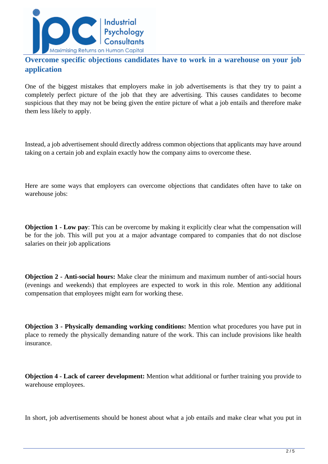

### **Overcome specific objections candidates have to work in a warehouse on your job application**

One of the biggest mistakes that employers make in job advertisements is that they try to paint a completely perfect picture of the job that they are advertising. This causes candidates to become suspicious that they may not be being given the entire picture of what a job entails and therefore make them less likely to apply.

Instead, a job advertisement should directly address common objections that applicants may have around taking on a certain job and explain exactly how the company aims to overcome these.

Here are some ways that employers can overcome objections that candidates often have to take on warehouse jobs:

**Objection 1 - Low pay**: This can be overcome by making it explicitly clear what the compensation will be for the job. This will put you at a major advantage compared to companies that do not disclose salaries on their job applications

**Objection 2 - Anti-social hours:** Make clear the minimum and maximum number of anti-social hours (evenings and weekends) that employees are expected to work in this role. Mention any additional compensation that employees might earn for working these.

**Objection 3 - Physically demanding working conditions:** Mention what procedures you have put in place to remedy the physically demanding nature of the work. This can include provisions like health insurance.

**Objection 4 - Lack of career development:** Mention what additional or further training you provide to warehouse employees.

In short, job advertisements should be honest about what a job entails and make clear what you put in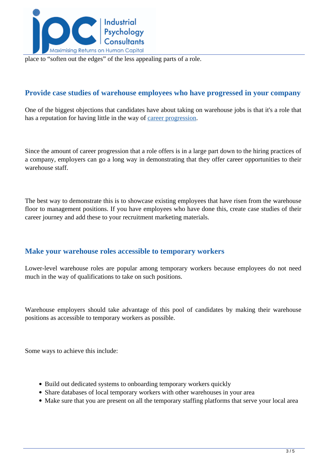

place to "soften out the edges" of the less appealing parts of a role.

#### **Provide case studies of warehouse employees who have progressed in your company**

One of the biggest objections that candidates have about taking on warehouse jobs is that it's a role that has a reputation for having little in the way of [career progression](../articles-category/career-growth).

Since the amount of career progression that a role offers is in a large part down to the hiring practices of a company, employers can go a long way in demonstrating that they offer career opportunities to their warehouse staff.

The best way to demonstrate this is to showcase existing employees that have risen from the warehouse floor to management positions. If you have employees who have done this, create case studies of their career journey and add these to your recruitment marketing materials.

#### **Make your warehouse roles accessible to temporary workers**

Lower-level warehouse roles are popular among temporary workers because employees do not need much in the way of qualifications to take on such positions.

Warehouse employers should take advantage of this pool of candidates by making their warehouse positions as accessible to temporary workers as possible.

Some ways to achieve this include:

- Build out dedicated systems to onboarding temporary workers quickly
- Share databases of local temporary workers with other warehouses in your area
- Make sure that you are present on all the temporary staffing platforms that serve your local area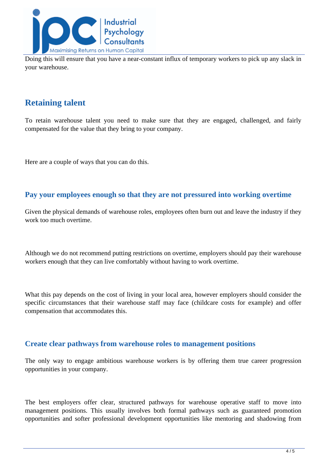

Doing this will ensure that you have a near-constant influx of temporary workers to pick up any slack in your warehouse.

## **Retaining talent**

To retain warehouse talent you need to make sure that they are engaged, challenged, and fairly compensated for the value that they bring to your company.

Here are a couple of ways that you can do this.

#### **Pay your employees enough so that they are not pressured into working overtime**

Given the physical demands of warehouse roles, employees often burn out and leave the industry if they work too much overtime.

Although we do not recommend putting restrictions on overtime, employers should pay their warehouse workers enough that they can live comfortably without having to work overtime.

What this pay depends on the cost of living in your local area, however employers should consider the specific circumstances that their warehouse staff may face (childcare costs for example) and offer compensation that accommodates this.

#### **Create clear pathways from warehouse roles to management positions**

The only way to engage ambitious warehouse workers is by offering them true career progression opportunities in your company.

The best employers offer clear, structured pathways for warehouse operative staff to move into management positions. This usually involves both formal pathways such as guaranteed promotion opportunities and softer professional development opportunities like mentoring and shadowing from